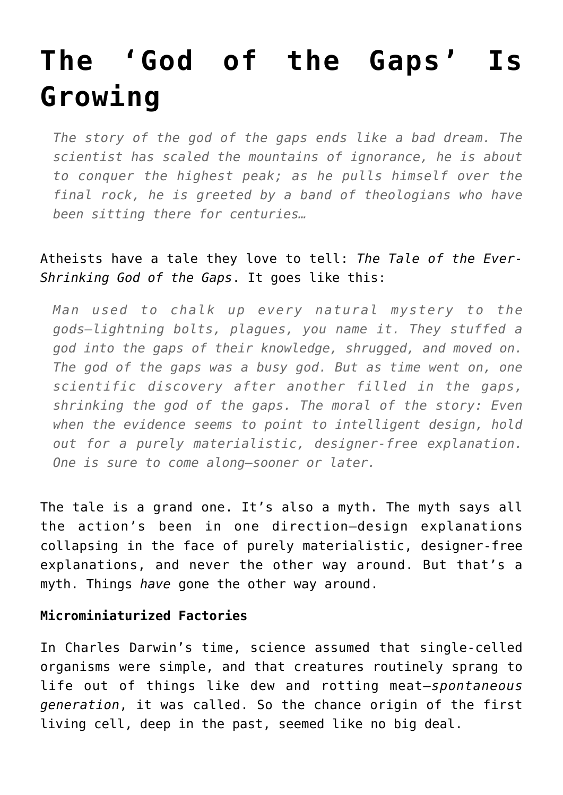# **[The 'God of the Gaps' Is](https://intellectualtakeout.org/2017/07/the-god-of-the-gaps-is-growing/) [Growing](https://intellectualtakeout.org/2017/07/the-god-of-the-gaps-is-growing/)**

*The story of the god of the gaps ends like a bad dream. The scientist has scaled the mountains of ignorance, he is about to conquer the highest peak; as he pulls himself over the final rock, he is greeted by a band of theologians who have been sitting there for centuries…*

## Atheists have a tale they love to tell: *The Tale of the Ever-Shrinking God of the Gaps*. It goes like this:

*Man used to chalk up every natural mystery to the gods—lightning bolts, plagues, you name it. They stuffed a god into the gaps of their knowledge, shrugged, and moved on. The god of the gaps was a busy god. But as time went on, one scientific discovery after another filled in the gaps, shrinking the god of the gaps. The moral of the story: Even when the evidence seems to point to intelligent design, hold out for a purely materialistic, designer-free explanation. One is sure to come along—sooner or later.*

The tale is a grand one. It's also a myth. The myth says all the action's been in one direction—design explanations collapsing in the face of purely materialistic, designer-free explanations, and never the other way around. But that's a myth. Things *have* gone the other way around.

#### **Microminiaturized Factories**

In Charles Darwin's time, science assumed that single-celled organisms were simple, and that creatures routinely sprang to life out of things like dew and rotting meat—*spontaneous generation*, it was called. So the chance origin of the first living cell, deep in the past, seemed like no big deal.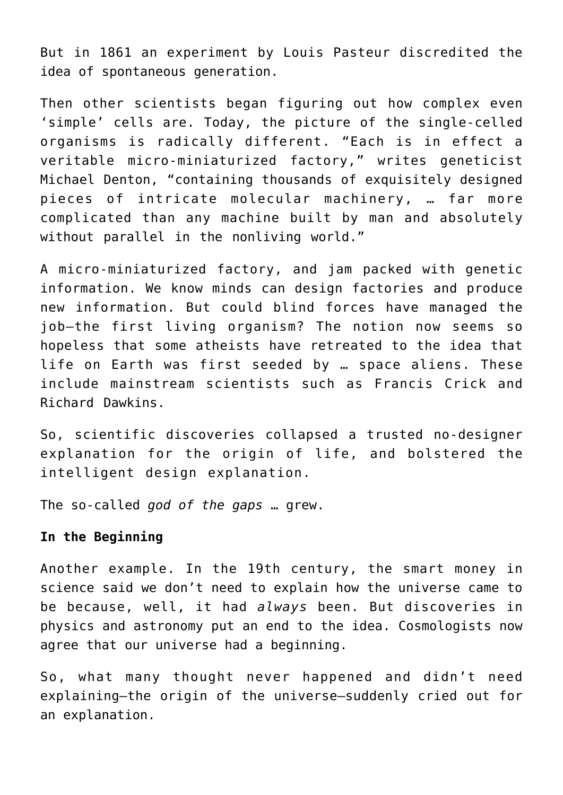But in 1861 an experiment by Louis Pasteur discredited the idea of spontaneous generation.

Then other scientists began figuring out how complex even 'simple' cells are. Today, the picture of the single-celled organisms is radically different. "Each is in effect a veritable micro-miniaturized factory," writes geneticist Michael Denton, "containing thousands of exquisitely designed pieces of intricate molecular machinery, … far more complicated than any machine built by man and absolutely without parallel in the nonliving world."

A micro-miniaturized factory, and jam packed with genetic information. We know minds can design factories and produce new information. But could blind forces have managed the job—the first living organism? The notion now seems so hopeless that some atheists have retreated to the idea that life on Earth was first seeded by … space aliens. These include mainstream scientists such as Francis Crick and Richard Dawkins.

So, scientific discoveries collapsed a trusted no-designer explanation for the origin of life, and bolstered the intelligent design explanation.

The so-called *god of the gaps* … grew.

### **In the Beginning**

Another example. In the 19th century, the smart money in science said we don't need to explain how the universe came to be because, well, it had *always* been. But discoveries in physics and astronomy put an end to the idea. Cosmologists now agree that our universe had a beginning.

So, what many thought never happened and didn't need explaining—the origin of the universe—suddenly cried out for an explanation.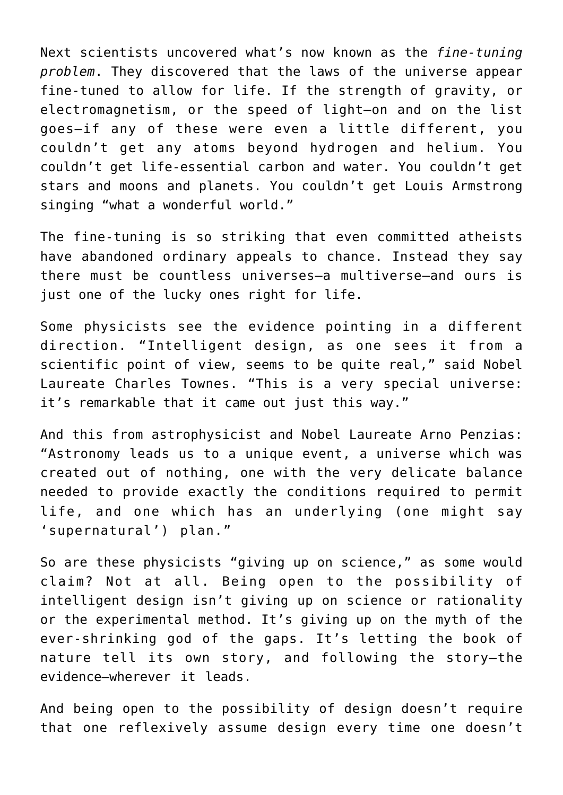Next scientists uncovered what's now known as the *fine-tuning problem*. They discovered that the laws of the universe appear fine-tuned to allow for life. If the strength of gravity, or electromagnetism, or the speed of light—on and on the list goes—if any of these were even a little different, you couldn't get any atoms beyond hydrogen and helium. You couldn't get life-essential carbon and water. You couldn't get stars and moons and planets. You couldn't get Louis Armstrong singing "what a wonderful world."

The fine-tuning is so striking that even committed atheists have abandoned ordinary appeals to chance. Instead they say there must be countless universes—a multiverse—and ours is just one of the lucky ones right for life.

Some physicists see the evidence pointing in a different direction. "Intelligent design, as one sees it from a scientific point of view, seems to be quite real," said Nobel Laureate Charles Townes. "This is a very special universe: it's remarkable that it came out just this way."

And this from astrophysicist and Nobel Laureate Arno Penzias: "Astronomy leads us to a unique event, a universe which was created out of nothing, one with the very delicate balance needed to provide exactly the conditions required to permit life, and one which has an underlying (one might say 'supernatural') plan."

So are these physicists "giving up on science," as some would claim? Not at all. Being open to the possibility of intelligent design isn't giving up on science or rationality or the experimental method. It's giving up on the myth of the ever-shrinking god of the gaps. It's letting the book of nature tell its own story, and following the story—the evidence—wherever it leads.

And being open to the possibility of design doesn't require that one reflexively assume design every time one doesn't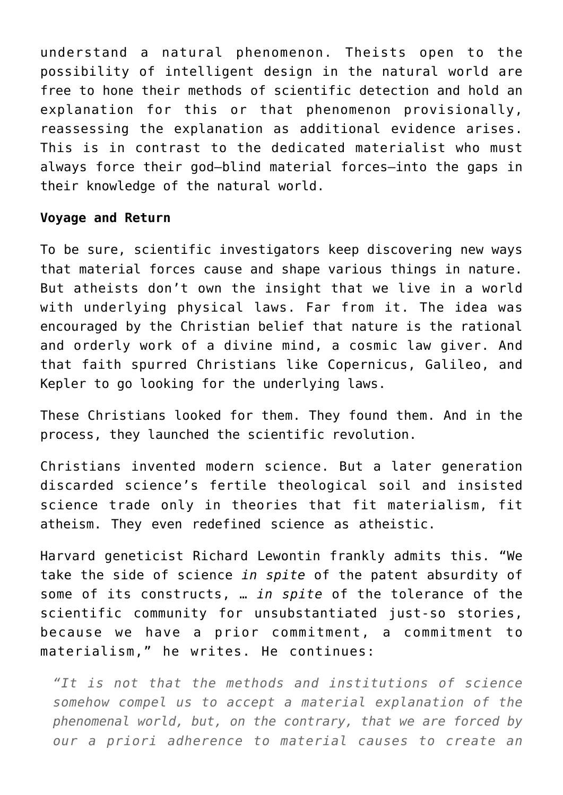understand a natural phenomenon. Theists open to the possibility of intelligent design in the natural world are free to hone their methods of scientific detection and hold an explanation for this or that phenomenon provisionally, reassessing the explanation as additional evidence arises. This is in contrast to the dedicated materialist who must always force their god—blind material forces—into the gaps in their knowledge of the natural world.

#### **Voyage and Return**

To be sure, scientific investigators keep discovering new ways that material forces cause and shape various things in nature. But atheists don't own the insight that we live in a world with underlying physical laws. Far from it. The idea was encouraged by the Christian belief that nature is the rational and orderly work of a divine mind, a cosmic law giver. And that faith spurred Christians like Copernicus, Galileo, and Kepler to go looking for the underlying laws.

These Christians looked for them. They found them. And in the process, they launched the scientific revolution.

Christians invented modern science. But a later generation discarded science's fertile theological soil and insisted science trade only in theories that fit materialism, fit atheism. They even redefined science as atheistic.

Harvard geneticist Richard Lewontin frankly admits this. "We take the side of science *in spite* of the patent absurdity of some of its constructs, … *in spite* of the tolerance of the scientific community for unsubstantiated just-so stories, because we have a prior commitment, a commitment to materialism," he writes. He continues:

*"It is not that the methods and institutions of science somehow compel us to accept a material explanation of the phenomenal world, but, on the contrary, that we are forced by our a priori adherence to material causes to create an*